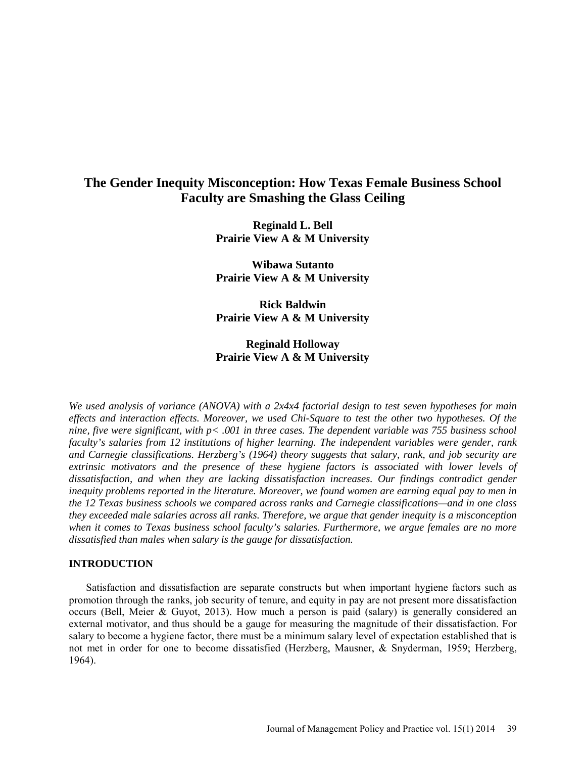# **The Gender Inequity Misconception: How Texas Female Business School Faculty are Smashing the Glass Ceiling**

**Reginald L. Bell Prairie View A & M University**

**Wibawa Sutanto Prairie View A & M University**

**Rick Baldwin Prairie View A & M University**

## **Reginald Holloway Prairie View A & M University**

*We used analysis of variance (ANOVA) with a 2x4x4 factorial design to test seven hypotheses for main effects and interaction effects. Moreover, we used Chi-Square to test the other two hypotheses. Of the nine, five were significant, with p< .001 in three cases. The dependent variable was 755 business school faculty's salaries from 12 institutions of higher learning. The independent variables were gender, rank*  and Carnegie classifications. Herzberg's (1964) theory suggests that salary, rank, and job security are *extrinsic motivators and the presence of these hygiene factors is associated with lower levels of dissatisfaction, and when they are lacking dissatisfaction increases. Our findings contradict gender inequity problems reported in the literature. Moreover, we found women are earning equal pay to men in the 12 Texas business schools we compared across ranks and Carnegie classifications—and in one class they exceeded male salaries across all ranks. Therefore, we argue that gender inequity is a misconception when it comes to Texas business school faculty's salaries. Furthermore, we argue females are no more dissatisfied than males when salary is the gauge for dissatisfaction.* 

#### **INTRODUCTION**

Satisfaction and dissatisfaction are separate constructs but when important hygiene factors such as promotion through the ranks, job security of tenure, and equity in pay are not present more dissatisfaction occurs (Bell, Meier & Guyot, 2013). How much a person is paid (salary) is generally considered an external motivator, and thus should be a gauge for measuring the magnitude of their dissatisfaction. For salary to become a hygiene factor, there must be a minimum salary level of expectation established that is not met in order for one to become dissatisfied (Herzberg, Mausner, & Snyderman, 1959; Herzberg, 1964).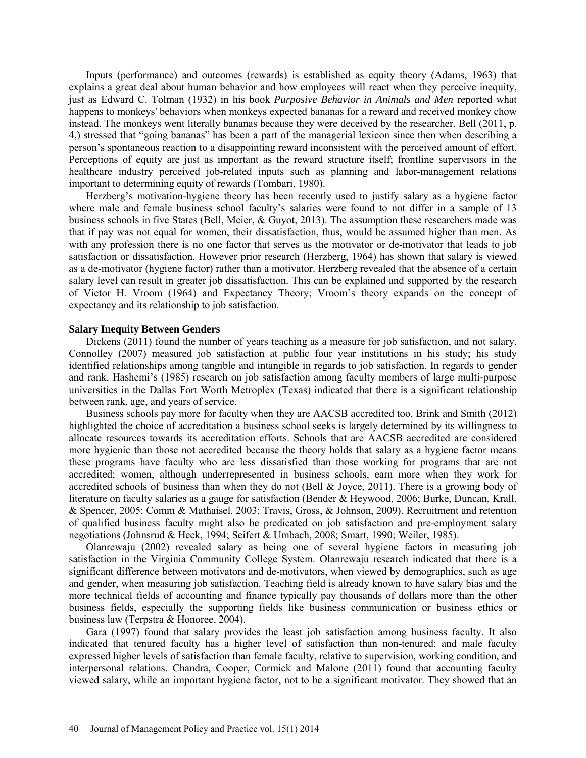Inputs (performance) and outcomes (rewards) is established as equity theory (Adams, 1963) that explains a great deal about human behavior and how employees will react when they perceive inequity, just as Edward C. Tolman (1932) in his book *Purposive Behavior in Animals and Men* reported what happens to monkeys' behaviors when monkeys expected bananas for a reward and received monkey chow instead. The monkeys went literally bananas because they were deceived by the researcher. Bell (2011, p. 4,) stressed that "going bananas" has been a part of the managerial lexicon since then when describing a person's spontaneous reaction to a disappointing reward inconsistent with the perceived amount of effort. Perceptions of equity are just as important as the reward structure itself; frontline supervisors in the healthcare industry perceived job-related inputs such as planning and labor-management relations important to determining equity of rewards (Tombari, 1980).

Herzberg's motivation-hygiene theory has been recently used to justify salary as a hygiene factor where male and female business school faculty's salaries were found to not differ in a sample of 13 business schools in five States (Bell, Meier, & Guyot, 2013). The assumption these researchers made was that if pay was not equal for women, their dissatisfaction, thus, would be assumed higher than men. As with any profession there is no one factor that serves as the motivator or de-motivator that leads to job satisfaction or dissatisfaction. However prior research (Herzberg, 1964) has shown that salary is viewed as a de-motivator (hygiene factor) rather than a motivator. Herzberg revealed that the absence of a certain salary level can result in greater job dissatisfaction. This can be explained and supported by the research of Victor H. Vroom (1964) and Expectancy Theory; Vroom's theory expands on the concept of expectancy and its relationship to job satisfaction.

#### **Salary Inequity Between Genders**

Dickens (2011) found the number of years teaching as a measure for job satisfaction, and not salary. Connolley (2007) measured job satisfaction at public four year institutions in his study; his study identified relationships among tangible and intangible in regards to job satisfaction. In regards to gender and rank, Hashemi's (1985) research on job satisfaction among faculty members of large multi-purpose universities in the Dallas Fort Worth Metroplex (Texas) indicated that there is a significant relationship between rank, age, and years of service.

Business schools pay more for faculty when they are AACSB accredited too. Brink and Smith (2012) highlighted the choice of accreditation a business school seeks is largely determined by its willingness to allocate resources towards its accreditation efforts. Schools that are AACSB accredited are considered more hygienic than those not accredited because the theory holds that salary as a hygiene factor means these programs have faculty who are less dissatisfied than those working for programs that are not accredited; women, although underrepresented in business schools, earn more when they work for accredited schools of business than when they do not (Bell & Joyce, 2011). There is a growing body of literature on faculty salaries as a gauge for satisfaction (Bender & Heywood, 2006; Burke, Duncan, Krall, & Spencer, 2005; Comm & Mathaisel, 2003; Travis, Gross, & Johnson, 2009). Recruitment and retention of qualified business faculty might also be predicated on job satisfaction and pre-employment salary negotiations (Johnsrud & Heck, 1994; Seifert & Umbach, 2008; Smart, 1990; Weiler, 1985).

Olanrewaju (2002) revealed salary as being one of several hygiene factors in measuring job satisfaction in the Virginia Community College System. Olanrewaju research indicated that there is a significant difference between motivators and de-motivators, when viewed by demographics, such as age and gender, when measuring job satisfaction. Teaching field is already known to have salary bias and the more technical fields of accounting and finance typically pay thousands of dollars more than the other business fields, especially the supporting fields like business communication or business ethics or business law (Terpstra & Honoree, 2004).

Gara (1997) found that salary provides the least job satisfaction among business faculty. It also indicated that tenured faculty has a higher level of satisfaction than non-tenured; and male faculty expressed higher levels of satisfaction than female faculty, relative to supervision, working condition, and interpersonal relations. Chandra, Cooper, Cormick and Malone (2011) found that accounting faculty viewed salary, while an important hygiene factor, not to be a significant motivator. They showed that an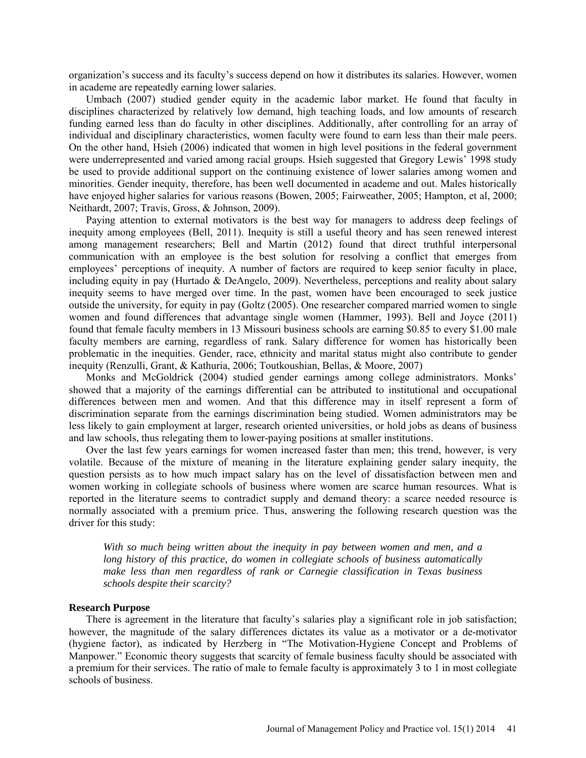organization's success and its faculty's success depend on how it distributes its salaries. However, women in academe are repeatedly earning lower salaries.

Umbach (2007) studied gender equity in the academic labor market. He found that faculty in disciplines characterized by relatively low demand, high teaching loads, and low amounts of research funding earned less than do faculty in other disciplines. Additionally, after controlling for an array of individual and disciplinary characteristics, women faculty were found to earn less than their male peers. On the other hand, Hsieh (2006) indicated that women in high level positions in the federal government were underrepresented and varied among racial groups. Hsieh suggested that Gregory Lewis' 1998 study be used to provide additional support on the continuing existence of lower salaries among women and minorities. Gender inequity, therefore, has been well documented in academe and out. Males historically have enjoyed higher salaries for various reasons (Bowen, 2005; Fairweather, 2005; Hampton, et al, 2000; Neithardt, 2007; Travis, Gross, & Johnson, 2009).

Paying attention to external motivators is the best way for managers to address deep feelings of inequity among employees (Bell, 2011). Inequity is still a useful theory and has seen renewed interest among management researchers; Bell and Martin (2012) found that direct truthful interpersonal communication with an employee is the best solution for resolving a conflict that emerges from employees' perceptions of inequity. A number of factors are required to keep senior faculty in place, including equity in pay (Hurtado & DeAngelo, 2009). Nevertheless, perceptions and reality about salary inequity seems to have merged over time. In the past, women have been encouraged to seek justice outside the university, for equity in pay (Goltz (2005). One researcher compared married women to single women and found differences that advantage single women (Hammer, 1993). Bell and Joyce (2011) found that female faculty members in 13 Missouri business schools are earning \$0.85 to every \$1.00 male faculty members are earning, regardless of rank. Salary difference for women has historically been problematic in the inequities. Gender, race, ethnicity and marital status might also contribute to gender inequity (Renzulli, Grant, & Kathuria, 2006; Toutkoushian, Bellas, & Moore, 2007)

Monks and McGoldrick (2004) studied gender earnings among college administrators. Monks' showed that a majority of the earnings differential can be attributed to institutional and occupational differences between men and women. And that this difference may in itself represent a form of discrimination separate from the earnings discrimination being studied. Women administrators may be less likely to gain employment at larger, research oriented universities, or hold jobs as deans of business and law schools, thus relegating them to lower-paying positions at smaller institutions.

Over the last few years earnings for women increased faster than men; this trend, however, is very volatile. Because of the mixture of meaning in the literature explaining gender salary inequity, the question persists as to how much impact salary has on the level of dissatisfaction between men and women working in collegiate schools of business where women are scarce human resources. What is reported in the literature seems to contradict supply and demand theory: a scarce needed resource is normally associated with a premium price. Thus, answering the following research question was the driver for this study:

*With so much being written about the inequity in pay between women and men, and a long history of this practice, do women in collegiate schools of business automatically make less than men regardless of rank or Carnegie classification in Texas business schools despite their scarcity?* 

## **Research Purpose**

There is agreement in the literature that faculty's salaries play a significant role in job satisfaction; however, the magnitude of the salary differences dictates its value as a motivator or a de-motivator (hygiene factor), as indicated by Herzberg in "The Motivation-Hygiene Concept and Problems of Manpower." Economic theory suggests that scarcity of female business faculty should be associated with a premium for their services. The ratio of male to female faculty is approximately 3 to 1 in most collegiate schools of business.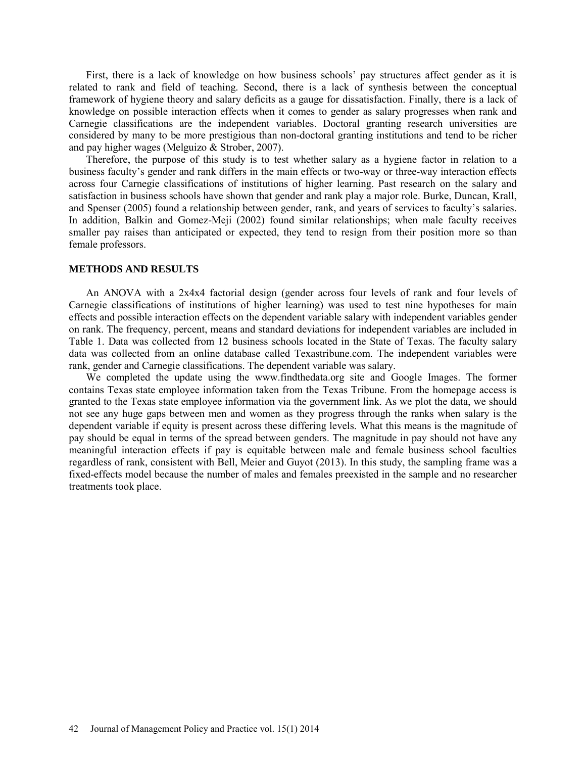First, there is a lack of knowledge on how business schools' pay structures affect gender as it is related to rank and field of teaching. Second, there is a lack of synthesis between the conceptual framework of hygiene theory and salary deficits as a gauge for dissatisfaction. Finally, there is a lack of knowledge on possible interaction effects when it comes to gender as salary progresses when rank and Carnegie classifications are the independent variables. Doctoral granting research universities are considered by many to be more prestigious than non-doctoral granting institutions and tend to be richer and pay higher wages (Melguizo & Strober, 2007).

Therefore, the purpose of this study is to test whether salary as a hygiene factor in relation to a business faculty's gender and rank differs in the main effects or two-way or three-way interaction effects across four Carnegie classifications of institutions of higher learning. Past research on the salary and satisfaction in business schools have shown that gender and rank play a major role. Burke, Duncan, Krall, and Spenser (2005) found a relationship between gender, rank, and years of services to faculty's salaries. In addition, Balkin and Gomez-Meji (2002) found similar relationships; when male faculty receives smaller pay raises than anticipated or expected, they tend to resign from their position more so than female professors.

#### **METHODS AND RESULTS**

An ANOVA with a 2x4x4 factorial design (gender across four levels of rank and four levels of Carnegie classifications of institutions of higher learning) was used to test nine hypotheses for main effects and possible interaction effects on the dependent variable salary with independent variables gender on rank. The frequency, percent, means and standard deviations for independent variables are included in Table 1. Data was collected from 12 business schools located in the State of Texas. The faculty salary data was collected from an online database called Texastribune.com. The independent variables were rank, gender and Carnegie classifications. The dependent variable was salary.

We completed the update using the www.findthedata.org site and Google Images. The former contains Texas state employee information taken from the Texas Tribune. From the homepage access is granted to the Texas state employee information via the government link. As we plot the data, we should not see any huge gaps between men and women as they progress through the ranks when salary is the dependent variable if equity is present across these differing levels. What this means is the magnitude of pay should be equal in terms of the spread between genders. The magnitude in pay should not have any meaningful interaction effects if pay is equitable between male and female business school faculties regardless of rank, consistent with Bell, Meier and Guyot (2013). In this study, the sampling frame was a fixed-effects model because the number of males and females preexisted in the sample and no researcher treatments took place.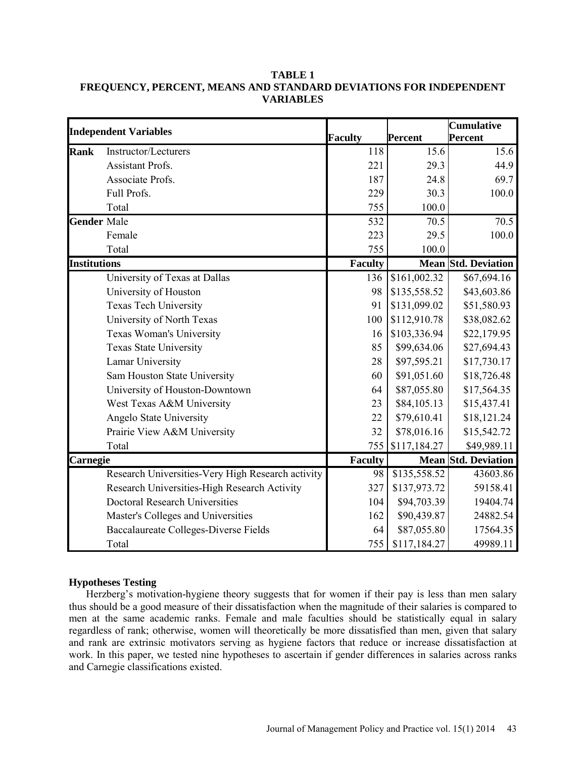## **TABLE 1 FREQUENCY, PERCENT, MEANS AND STANDARD DEVIATIONS FOR INDEPENDENT VARIABLES**

|                     | <b>Independent Variables</b>                      |                |                | <b>Cumulative</b>          |
|---------------------|---------------------------------------------------|----------------|----------------|----------------------------|
|                     |                                                   | <b>Faculty</b> | <b>Percent</b> | Percent                    |
| <b>Rank</b>         | Instructor/Lecturers                              | 118            | 15.6           | 15.6                       |
|                     | <b>Assistant Profs.</b>                           | 221            | 29.3           | 44.9                       |
|                     | Associate Profs.                                  | 187            | 24.8           | 69.7                       |
|                     | Full Profs.                                       | 229            | 30.3           | 100.0                      |
|                     | Total                                             | 755            | 100.0          |                            |
| <b>Gender Male</b>  |                                                   | 532            | 70.5           | 70.5                       |
|                     | Female                                            | 223            | 29.5           | 100.0                      |
|                     | Total                                             | 755            | 100.0          |                            |
| <b>Institutions</b> |                                                   | <b>Faculty</b> |                | <b>Mean Std. Deviation</b> |
|                     | University of Texas at Dallas                     | 136            | \$161,002.32   | \$67,694.16                |
|                     | University of Houston                             | 98             | \$135,558.52   | \$43,603.86                |
|                     | <b>Texas Tech University</b>                      | 91             | \$131,099.02   | \$51,580.93                |
|                     | University of North Texas                         | 100            | \$112,910.78   | \$38,082.62                |
|                     | Texas Woman's University                          | 16             | \$103,336.94   | \$22,179.95                |
|                     | <b>Texas State University</b>                     | 85             | \$99,634.06    | \$27,694.43                |
|                     | Lamar University                                  | 28             | \$97,595.21    | \$17,730.17                |
|                     | Sam Houston State University                      | 60             | \$91,051.60    | \$18,726.48                |
|                     | University of Houston-Downtown                    | 64             | \$87,055.80    | \$17,564.35                |
|                     | West Texas A&M University                         | 23             | \$84,105.13    | \$15,437.41                |
|                     | Angelo State University                           | 22             | \$79,610.41    | \$18,121.24                |
|                     | Prairie View A&M University                       | 32             | \$78,016.16    | \$15,542.72                |
|                     | Total                                             | 755            | \$117,184.27   | \$49,989.11                |
| Carnegie            |                                                   | <b>Faculty</b> |                | <b>Mean Std. Deviation</b> |
|                     | Research Universities-Very High Research activity | 98             | \$135,558.52   | 43603.86                   |
|                     | Research Universities-High Research Activity      | 327            | \$137,973.72   | 59158.41                   |
|                     | <b>Doctoral Research Universities</b>             | 104            | \$94,703.39    | 19404.74                   |
|                     | Master's Colleges and Universities                | 162            | \$90,439.87    | 24882.54                   |
|                     | Baccalaureate Colleges-Diverse Fields             | 64             | \$87,055.80    | 17564.35                   |
|                     | Total                                             | 755            | \$117,184.27   | 49989.11                   |

## **Hypotheses Testing**

Herzberg's motivation-hygiene theory suggests that for women if their pay is less than men salary thus should be a good measure of their dissatisfaction when the magnitude of their salaries is compared to men at the same academic ranks. Female and male faculties should be statistically equal in salary regardless of rank; otherwise, women will theoretically be more dissatisfied than men, given that salary and rank are extrinsic motivators serving as hygiene factors that reduce or increase dissatisfaction at work. In this paper, we tested nine hypotheses to ascertain if gender differences in salaries across ranks and Carnegie classifications existed.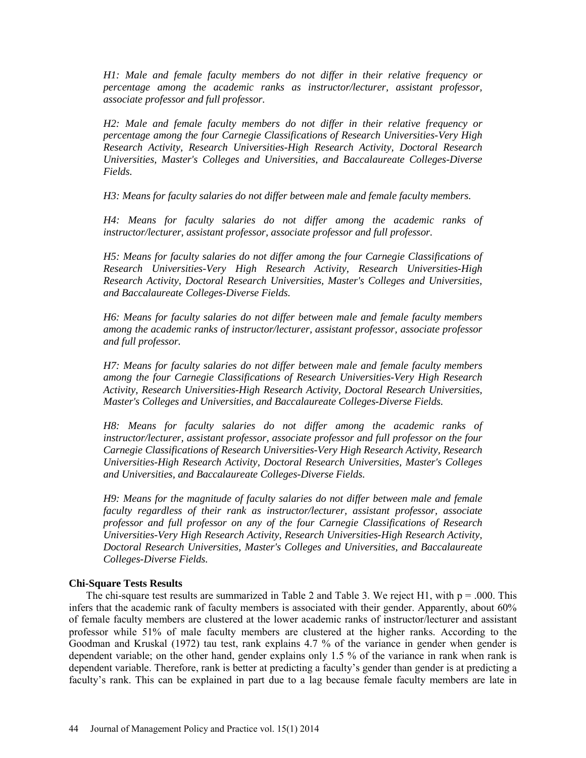*H1: Male and female faculty members do not differ in their relative frequency or percentage among the academic ranks as instructor/lecturer, assistant professor, associate professor and full professor.* 

*H2: Male and female faculty members do not differ in their relative frequency or percentage among the four Carnegie Classifications of Research Universities-Very High Research Activity, Research Universities-High Research Activity, Doctoral Research Universities, Master's Colleges and Universities, and Baccalaureate Colleges-Diverse Fields.*

*H3: Means for faculty salaries do not differ between male and female faculty members.*

*H4: Means for faculty salaries do not differ among the academic ranks of instructor/lecturer, assistant professor, associate professor and full professor.* 

*H5: Means for faculty salaries do not differ among the four Carnegie Classifications of Research Universities-Very High Research Activity, Research Universities-High Research Activity, Doctoral Research Universities, Master's Colleges and Universities, and Baccalaureate Colleges-Diverse Fields.*

*H6: Means for faculty salaries do not differ between male and female faculty members among the academic ranks of instructor/lecturer, assistant professor, associate professor and full professor.* 

*H7: Means for faculty salaries do not differ between male and female faculty members among the four Carnegie Classifications of Research Universities-Very High Research Activity, Research Universities-High Research Activity, Doctoral Research Universities, Master's Colleges and Universities, and Baccalaureate Colleges-Diverse Fields.*

*H8: Means for faculty salaries do not differ among the academic ranks of instructor/lecturer, assistant professor, associate professor and full professor on the four Carnegie Classifications of Research Universities-Very High Research Activity, Research Universities-High Research Activity, Doctoral Research Universities, Master's Colleges and Universities, and Baccalaureate Colleges-Diverse Fields.*

*H9: Means for the magnitude of faculty salaries do not differ between male and female faculty regardless of their rank as instructor/lecturer, assistant professor, associate professor and full professor on any of the four Carnegie Classifications of Research Universities-Very High Research Activity, Research Universities-High Research Activity, Doctoral Research Universities, Master's Colleges and Universities, and Baccalaureate Colleges-Diverse Fields.*

#### **Chi-Square Tests Results**

The chi-square test results are summarized in Table 2 and Table 3. We reject H1, with  $p = .000$ . This infers that the academic rank of faculty members is associated with their gender. Apparently, about 60% of female faculty members are clustered at the lower academic ranks of instructor/lecturer and assistant professor while 51% of male faculty members are clustered at the higher ranks. According to the Goodman and Kruskal (1972) tau test, rank explains 4.7 % of the variance in gender when gender is dependent variable; on the other hand, gender explains only 1.5 % of the variance in rank when rank is dependent variable. Therefore, rank is better at predicting a faculty's gender than gender is at predicting a faculty's rank. This can be explained in part due to a lag because female faculty members are late in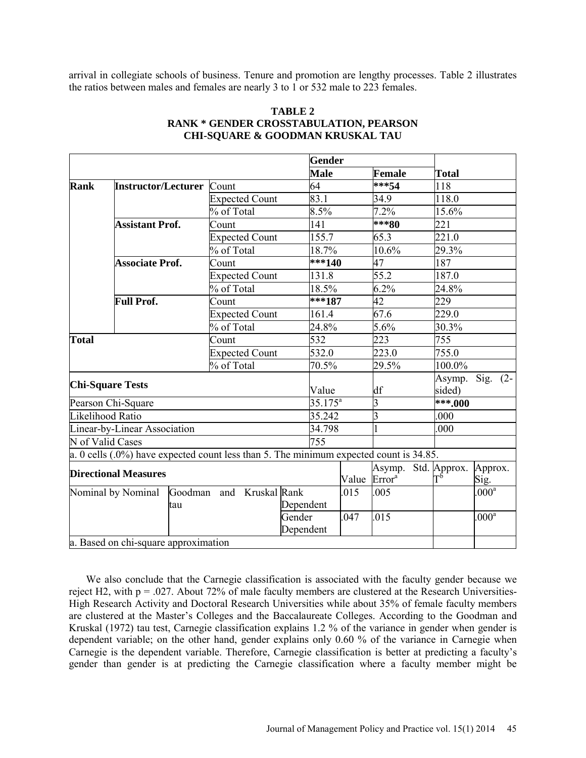arrival in collegiate schools of business. Tenure and promotion are lengthy processes. Table 2 illustrates the ratios between males and females are nearly 3 to 1 or 532 male to 223 females.

|                                      |                                                                                           |                       |                               | <b>Gender</b> |       |                                           |  |                                   |                 |
|--------------------------------------|-------------------------------------------------------------------------------------------|-----------------------|-------------------------------|---------------|-------|-------------------------------------------|--|-----------------------------------|-----------------|
|                                      |                                                                                           |                       |                               | <b>Male</b>   |       | Female                                    |  | <b>Total</b><br>sided)<br>***.000 |                 |
| <b>Rank</b>                          | <b>Instructor/Lecturer</b>                                                                | Count                 |                               | 64            |       | $***54$                                   |  | 118                               |                 |
|                                      |                                                                                           |                       | 83.1<br><b>Expected Count</b> |               |       | 34.9                                      |  | 118.0                             |                 |
|                                      |                                                                                           | % of Total            |                               | 8.5%          |       | 7.2%                                      |  | 15.6%                             |                 |
|                                      | <b>Assistant Prof.</b>                                                                    | Count                 |                               | 141           |       | ***80                                     |  | 221                               |                 |
|                                      |                                                                                           | <b>Expected Count</b> |                               | 155.7         |       | 65.3                                      |  | 221.0                             |                 |
|                                      |                                                                                           | % of Total            |                               | 18.7%         |       | 10.6%                                     |  | 29.3%                             |                 |
|                                      | <b>Associate Prof.</b>                                                                    | Count                 |                               | ***140        |       | 47                                        |  | 187                               |                 |
|                                      |                                                                                           | <b>Expected Count</b> |                               | 131.8         |       | 55.2                                      |  | 187.0                             |                 |
|                                      |                                                                                           | % of Total            |                               | 18.5%         |       | 6.2%                                      |  | 24.8%                             |                 |
|                                      | <b>Full Prof.</b>                                                                         | Count                 |                               | $***187$      |       | 42                                        |  | 229                               |                 |
|                                      |                                                                                           | <b>Expected Count</b> |                               | 161.4         |       | 67.6                                      |  | 229.0                             |                 |
|                                      |                                                                                           | % of Total            |                               |               |       | 5.6%                                      |  | 30.3%                             |                 |
| <b>Total</b>                         |                                                                                           | Count                 |                               |               |       | 223                                       |  | 755                               |                 |
|                                      |                                                                                           |                       | <b>Expected Count</b>         |               |       | 223.0<br>755.0                            |  |                                   |                 |
|                                      |                                                                                           | % of Total            |                               |               |       | 29.5%                                     |  | 100.0%                            |                 |
|                                      | <b>Chi-Square Tests</b>                                                                   |                       |                               | Value         |       | df                                        |  | Asymp.                            | Sig. $(2-$      |
|                                      | Pearson Chi-Square                                                                        |                       |                               | $35.175^a$    |       | 3                                         |  |                                   |                 |
|                                      | Likelihood Ratio                                                                          |                       |                               | 35.242        |       | $\overline{3}$                            |  | .000                              |                 |
|                                      | Linear-by-Linear Association                                                              |                       |                               | 34.798        |       |                                           |  | .000                              |                 |
|                                      | N of Valid Cases                                                                          |                       |                               | 755           |       |                                           |  |                                   |                 |
|                                      | a. 0 cells $(.0\%)$ have expected count less than 5. The minimum expected count is 34.85. |                       |                               |               |       |                                           |  |                                   |                 |
| <b>Directional Measures</b>          |                                                                                           |                       |                               |               | Value | Asymp. Std. Approx.<br>Error <sup>a</sup> |  | $T^{\vec b}$                      | Approx.<br>Sig. |
| Nominal by Nominal<br>Goodman<br>tau |                                                                                           |                       | and Kruskal Rank<br>Dependent |               | .015  | .005                                      |  |                                   | $000^a$         |
|                                      |                                                                                           |                       | Gender<br>Dependent           |               | .047  | .015                                      |  |                                   | $000^a$         |
|                                      | a. Based on chi-square approximation                                                      |                       |                               |               |       |                                           |  |                                   |                 |

#### **TABLE 2 RANK \* GENDER CROSSTABULATION, PEARSON CHI-SQUARE & GOODMAN KRUSKAL TAU**

We also conclude that the Carnegie classification is associated with the faculty gender because we reject H2, with p = .027. About 72% of male faculty members are clustered at the Research Universities-High Research Activity and Doctoral Research Universities while about 35% of female faculty members are clustered at the Master's Colleges and the Baccalaureate Colleges. According to the Goodman and Kruskal (1972) tau test, Carnegie classification explains 1.2 % of the variance in gender when gender is dependent variable; on the other hand, gender explains only 0.60 % of the variance in Carnegie when Carnegie is the dependent variable. Therefore, Carnegie classification is better at predicting a faculty's gender than gender is at predicting the Carnegie classification where a faculty member might be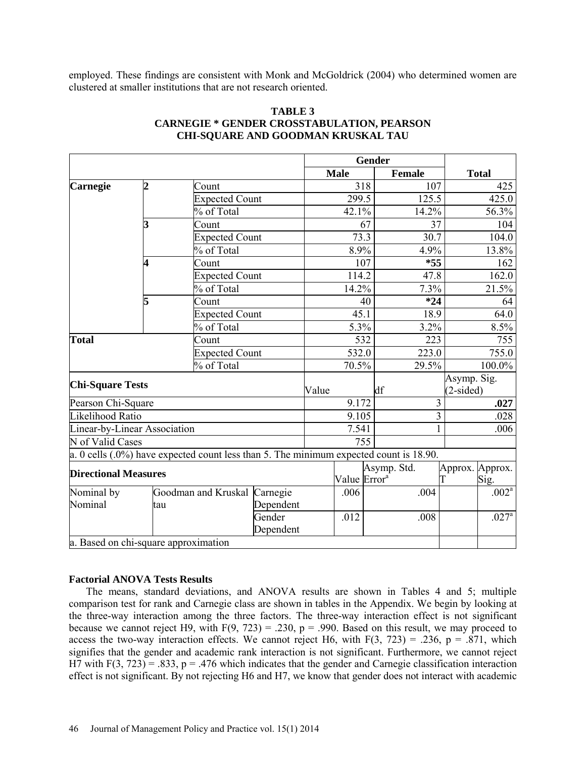employed. These findings are consistent with Monk and McGoldrick (2004) who determined women are clustered at smaller institutions that are not research oriented.

|                              |                |                                                                                          |                                  |       | Gender                   |                         |               |       |                            |                         |
|------------------------------|----------------|------------------------------------------------------------------------------------------|----------------------------------|-------|--------------------------|-------------------------|---------------|-------|----------------------------|-------------------------|
|                              |                |                                                                                          |                                  |       | <b>Male</b>              |                         | <b>Female</b> |       |                            | <b>Total</b>            |
| Carnegie                     | $\overline{2}$ | Count                                                                                    |                                  |       |                          | 318                     |               | 107   |                            | 425                     |
|                              |                | <b>Expected Count</b>                                                                    |                                  |       | 299.5                    |                         |               | 125.5 |                            | 425.0                   |
|                              |                | % of Total                                                                               |                                  |       | 42.1%                    |                         |               | 14.2% |                            | 56.3%                   |
|                              | 3              | Count                                                                                    |                                  |       |                          | 67                      |               | 37    |                            | 104                     |
|                              |                | Expected Count                                                                           |                                  |       | 73.3                     |                         |               | 30.7  |                            | 104.0                   |
|                              |                | % of Total                                                                               |                                  |       | 8.9%                     |                         |               | 4.9%  |                            | 13.8%                   |
|                              | 4              | Count                                                                                    |                                  |       |                          | 107                     |               | $*55$ |                            | 162                     |
|                              |                | <b>Expected Count</b>                                                                    |                                  |       | 114.2                    |                         |               | 47.8  |                            | 162.0                   |
|                              |                | % of Total                                                                               |                                  |       | 14.2%                    |                         |               | 7.3%  |                            | 21.5%                   |
|                              | 5              | Count                                                                                    |                                  |       |                          | 40                      |               | $*24$ |                            | 64                      |
|                              |                | <b>Expected Count</b>                                                                    |                                  |       | 45.1                     |                         | 18.9          |       |                            | 64.0                    |
|                              |                | % of Total                                                                               |                                  | 5.3%  |                          | 3.2%                    |               |       | 8.5%                       |                         |
| <b>Total</b>                 |                | Count                                                                                    |                                  |       |                          | 532                     | 223           |       |                            | 755                     |
|                              |                | <b>Expected Count</b>                                                                    |                                  |       | 532.0                    |                         |               | 223.0 |                            | 755.0                   |
|                              |                | % of Total                                                                               |                                  |       | 70.5%<br>29.5%           |                         |               |       | 100.0%                     |                         |
| <b>Chi-Square Tests</b>      |                |                                                                                          |                                  | Value |                          |                         | df            |       | Asymp. Sig.<br>$(2-sided)$ |                         |
| Pearson Chi-Square           |                |                                                                                          |                                  | 9.172 |                          |                         | 3             |       |                            | .027                    |
| Likelihood Ratio             |                |                                                                                          |                                  | 9.105 |                          | $\overline{\mathbf{3}}$ |               |       | .028                       |                         |
| Linear-by-Linear Association |                |                                                                                          |                                  | 7.541 |                          | 1                       |               |       | .006                       |                         |
| N of Valid Cases             |                |                                                                                          |                                  | 755   |                          |                         |               |       |                            |                         |
|                              |                | $a. 0$ cells (.0%) have expected count less than 5. The minimum expected count is 18.90. |                                  |       |                          |                         |               |       |                            |                         |
| <b>Directional Measures</b>  |                |                                                                                          |                                  |       | Value Error <sup>a</sup> |                         | Asymp. Std.   | T     |                            | Approx. Approx.<br>Sig. |
| Nominal by<br>Nominal        |                | Goodman and Kruskal                                                                      | Carnegie                         |       | .006                     |                         |               | .004  |                            | $.002^{\overline{a}}$   |
|                              | tau            |                                                                                          | Dependent<br>Gender<br>Dependent |       | .012                     |                         |               | .008  |                            | $.027^{\circ}$          |
|                              |                | a. Based on chi-square approximation                                                     |                                  |       |                          |                         |               |       |                            |                         |

#### **TABLE 3 CARNEGIE \* GENDER CROSSTABULATION, PEARSON CHI-SQUARE AND GOODMAN KRUSKAL TAU**

## **Factorial ANOVA Tests Results**

The means, standard deviations, and ANOVA results are shown in Tables 4 and 5; multiple comparison test for rank and Carnegie class are shown in tables in the Appendix. We begin by looking at the three-way interaction among the three factors. The three-way interaction effect is not significant because we cannot reject H9, with  $F(9, 723) = .230$ ,  $p = .990$ . Based on this result, we may proceed to access the two-way interaction effects. We cannot reject H6, with  $F(3, 723) = .236$ , p = .871, which signifies that the gender and academic rank interaction is not significant. Furthermore, we cannot reject H7 with F(3, 723) = .833, p = .476 which indicates that the gender and Carnegie classification interaction effect is not significant. By not rejecting H6 and H7, we know that gender does not interact with academic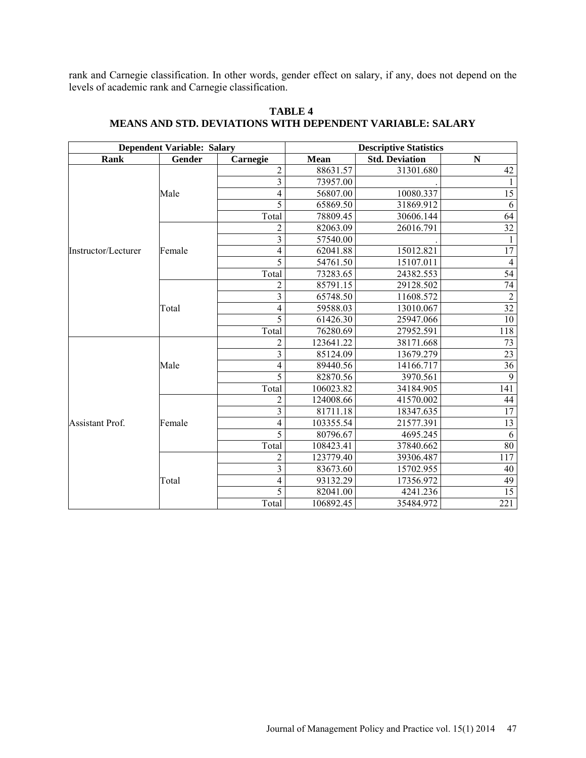rank and Carnegie classification. In other words, gender effect on salary, if any, does not depend on the levels of academic rank and Carnegie classification.

|                                        | <b>Dependent Variable: Salary</b> |                          | <b>Descriptive Statistics</b> |                       |                 |  |  |  |
|----------------------------------------|-----------------------------------|--------------------------|-------------------------------|-----------------------|-----------------|--|--|--|
| Rank                                   | Gender                            | Carnegie                 | Mean                          | <b>Std. Deviation</b> | ${\bf N}$       |  |  |  |
|                                        |                                   | $\overline{2}$           | 88631.57                      | 31301.680             | 42              |  |  |  |
| Instructor/Lecturer<br>Assistant Prof. |                                   | 3                        | 73957.00                      |                       | $\mathbf{1}$    |  |  |  |
|                                        | Male                              | $\overline{\mathcal{L}}$ | 56807.00                      | 10080.337             | $\overline{15}$ |  |  |  |
|                                        |                                   | 5                        | 65869.50                      | 31869.912             | 6               |  |  |  |
|                                        |                                   | Total                    | 78809.45                      | 30606.144             | 64              |  |  |  |
|                                        |                                   | 2                        | 82063.09                      | 26016.791             | $\overline{32}$ |  |  |  |
|                                        |                                   | $\overline{\mathbf{3}}$  | 57540.00                      |                       |                 |  |  |  |
|                                        | Female                            | 4                        | 62041.88                      | 15012.821             | $\overline{17}$ |  |  |  |
|                                        |                                   | 5                        | 54761.50                      | 15107.011             | $\overline{4}$  |  |  |  |
|                                        |                                   | Total                    | 73283.65                      | 24382.553             | $\overline{54}$ |  |  |  |
|                                        |                                   | $\overline{c}$           | 85791.15                      | 29128.502             | $74\,$          |  |  |  |
|                                        |                                   | $\overline{3}$           | 65748.50                      | 11608.572             | $\overline{2}$  |  |  |  |
|                                        | Total                             | 4                        | 59588.03                      | 13010.067             | 32              |  |  |  |
|                                        |                                   | 5                        | 61426.30                      | 25947.066             | $\overline{10}$ |  |  |  |
|                                        |                                   | Total                    | 76280.69                      | 27952.591             | 118             |  |  |  |
|                                        |                                   | $\overline{2}$           | 123641.22                     | 38171.668             | 73              |  |  |  |
|                                        |                                   | $\overline{\mathbf{3}}$  | 85124.09                      | 13679.279             | $\overline{23}$ |  |  |  |
|                                        | Male                              | 4                        | 89440.56                      | 14166.717             | $\overline{36}$ |  |  |  |
|                                        |                                   | 5                        | 82870.56                      | 3970.561              | 9               |  |  |  |
|                                        |                                   | Total                    | 106023.82                     | 34184.905             | 141             |  |  |  |
|                                        |                                   | $\overline{c}$           | 124008.66                     | 41570.002             | 44              |  |  |  |
|                                        |                                   | $\overline{\mathbf{3}}$  | 81711.18                      | 18347.635             | 17              |  |  |  |
|                                        | Female                            | 4                        | 103355.54                     | 21577.391             | 13              |  |  |  |
|                                        |                                   | 5                        | 80796.67                      | 4695.245              | 6               |  |  |  |
|                                        |                                   | Total                    | 108423.41                     | 37840.662             | 80              |  |  |  |
|                                        |                                   | $\overline{c}$           | 123779.40                     | 39306.487             | 117             |  |  |  |
|                                        |                                   | $\overline{\mathbf{3}}$  | 83673.60                      | 15702.955             | 40              |  |  |  |
|                                        | Total                             | $\overline{4}$           | 93132.29                      | 17356.972             | 49              |  |  |  |
|                                        |                                   | 5                        | 82041.00                      | 4241.236              | $\overline{15}$ |  |  |  |
|                                        |                                   | Total                    | 106892.45                     | 35484.972             | 221             |  |  |  |

## **TABLE 4 MEANS AND STD. DEVIATIONS WITH DEPENDENT VARIABLE: SALARY**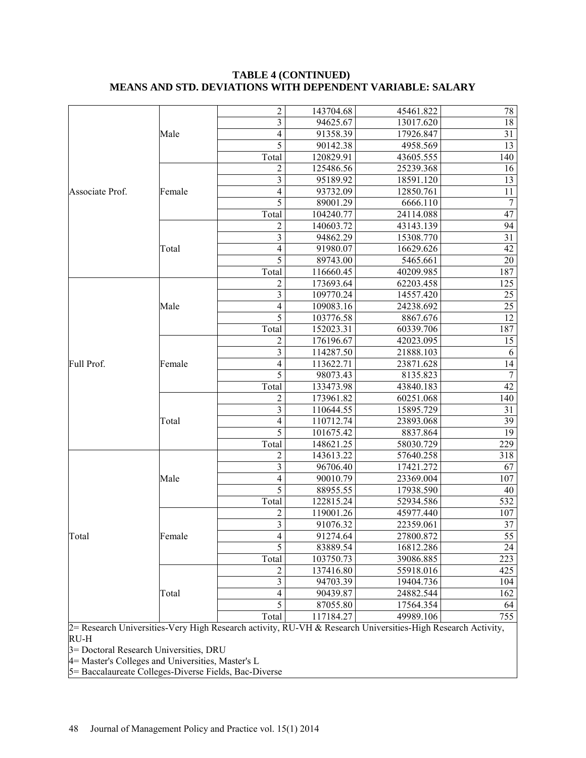|                 |        | $\overline{c}$           | 143704.68 | 45461.822 | 78              |
|-----------------|--------|--------------------------|-----------|-----------|-----------------|
|                 |        | 3                        | 94625.67  | 13017.620 | 18              |
|                 | Male   | 4                        | 91358.39  | 17926.847 | $\overline{31}$ |
|                 |        | 5                        | 90142.38  | 4958.569  | 13              |
|                 |        | Total                    | 120829.91 | 43605.555 | 140             |
|                 |        | 2                        | 125486.56 | 25239.368 | 16              |
|                 |        | 3                        | 95189.92  | 18591.120 | 13              |
| Associate Prof. | Female | 4                        | 93732.09  | 12850.761 | 11              |
|                 |        | 5                        | 89001.29  | 6666.110  | $\tau$          |
|                 |        | Total                    | 104240.77 | 24114.088 | 47              |
|                 |        | 2                        | 140603.72 | 43143.139 | 94              |
|                 |        | 3                        | 94862.29  | 15308.770 | $\overline{31}$ |
|                 | Total  | 4                        | 91980.07  | 16629.626 | 42              |
|                 |        | 5                        | 89743.00  | 5465.661  | 20              |
|                 |        | Total                    | 116660.45 | 40209.985 | 187             |
|                 |        | 2                        | 173693.64 | 62203.458 | 125             |
|                 |        | 3                        | 109770.24 | 14557.420 | 25              |
|                 | Male   | 4                        | 109083.16 | 24238.692 | 25              |
|                 |        | 5                        | 103776.58 | 8867.676  | $\overline{12}$ |
|                 |        | Total                    | 152023.31 | 60339.706 | 187             |
|                 |        | 2                        | 176196.67 | 42023.095 | 15              |
|                 |        | 3                        | 114287.50 | 21888.103 | 6               |
| Full Prof.      | Female | 4                        | 113622.71 | 23871.628 | 14              |
|                 |        | 5                        | 98073.43  | 8135.823  | $\overline{7}$  |
|                 |        | Total                    | 133473.98 | 43840.183 | $\overline{42}$ |
|                 |        | 2                        | 173961.82 | 60251.068 | 140             |
|                 |        | 3                        | 110644.55 | 15895.729 | 31              |
|                 | Total  | 4                        | 110712.74 | 23893.068 | 39              |
|                 |        | 5                        | 101675.42 | 8837.864  | 19              |
|                 |        | Total                    | 148621.25 | 58030.729 | 229             |
|                 |        | 2                        | 143613.22 | 57640.258 | 318             |
|                 |        | 3                        | 96706.40  | 17421.272 | 67              |
|                 | Male   | 4                        | 90010.79  | 23369.004 | 107             |
|                 |        | 5                        | 88955.55  | 17938.590 | 40              |
|                 |        | Total                    | 122815.24 | 52934.586 | 532             |
|                 |        | 2                        | 119001.26 | 45977.440 | 107             |
|                 |        | 3                        | 91076.32  | 22359.061 | 37              |
| Total           | Female | $\overline{\mathcal{A}}$ | 91274.64  | 27800.872 | 55              |
|                 |        | $\overline{5}$           | 83889.54  | 16812.286 | 24              |
|                 |        | Total                    | 103750.73 | 39086.885 | 223             |
|                 |        | $\overline{\mathbf{c}}$  | 137416.80 | 55918.016 | 425             |
|                 |        | $\overline{\mathbf{3}}$  | 94703.39  | 19404.736 | 104             |
|                 | Total  | 4                        | 90439.87  | 24882.544 | 162             |
|                 |        | 5                        | 87055.80  | 17564.354 | 64              |
|                 |        | Total                    | 117184.27 | 49989.106 | 755             |

## **TABLE 4 (CONTINUED) MEANS AND STD. DEVIATIONS WITH DEPENDENT VARIABLE: SALARY**

2= Research Universities-Very High Research activity, RU-VH & Research Universities-High Research Activity, RU-H

3= Doctoral Research Universities, DRU

4= Master's Colleges and Universities, Master's L

5= Baccalaureate Colleges-Diverse Fields, Bac-Diverse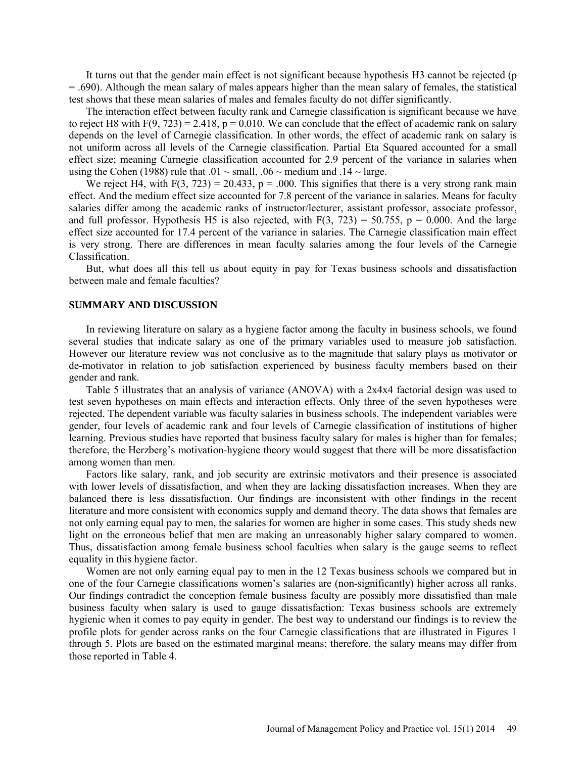It turns out that the gender main effect is not significant because hypothesis H3 cannot be rejected (p = .690). Although the mean salary of males appears higher than the mean salary of females, the statistical test shows that these mean salaries of males and females faculty do not differ significantly.

The interaction effect between faculty rank and Carnegie classification is significant because we have to reject H8 with  $F(9, 723) = 2.418$ ,  $p = 0.010$ . We can conclude that the effect of academic rank on salary depends on the level of Carnegie classification. In other words, the effect of academic rank on salary is not uniform across all levels of the Carnegie classification. Partial Eta Squared accounted for a small effect size; meaning Carnegie classification accounted for 2.9 percent of the variance in salaries when using the Cohen (1988) rule that  $.01 \sim$  small,  $.06 \sim$  medium and  $.14 \sim$  large.

We reject H4, with  $F(3, 723) = 20.433$ ,  $p = .000$ . This signifies that there is a very strong rank main effect. And the medium effect size accounted for 7.8 percent of the variance in salaries. Means for faculty salaries differ among the academic ranks of instructor/lecturer, assistant professor, associate professor, and full professor. Hypothesis H5 is also rejected, with  $F(3, 723) = 50.755$ ,  $p = 0.000$ . And the large effect size accounted for 17.4 percent of the variance in salaries. The Carnegie classification main effect is very strong. There are differences in mean faculty salaries among the four levels of the Carnegie Classification.

But, what does all this tell us about equity in pay for Texas business schools and dissatisfaction between male and female faculties?

#### **SUMMARY AND DISCUSSION**

In reviewing literature on salary as a hygiene factor among the faculty in business schools, we found several studies that indicate salary as one of the primary variables used to measure job satisfaction. However our literature review was not conclusive as to the magnitude that salary plays as motivator or de-motivator in relation to job satisfaction experienced by business faculty members based on their gender and rank.

Table 5 illustrates that an analysis of variance (ANOVA) with a 2x4x4 factorial design was used to test seven hypotheses on main effects and interaction effects. Only three of the seven hypotheses were rejected. The dependent variable was faculty salaries in business schools. The independent variables were gender, four levels of academic rank and four levels of Carnegie classification of institutions of higher learning. Previous studies have reported that business faculty salary for males is higher than for females; therefore, the Herzberg's motivation-hygiene theory would suggest that there will be more dissatisfaction among women than men.

Factors like salary, rank, and job security are extrinsic motivators and their presence is associated with lower levels of dissatisfaction, and when they are lacking dissatisfaction increases. When they are balanced there is less dissatisfaction. Our findings are inconsistent with other findings in the recent literature and more consistent with economics supply and demand theory. The data shows that females are not only earning equal pay to men, the salaries for women are higher in some cases. This study sheds new light on the erroneous belief that men are making an unreasonably higher salary compared to women. Thus, dissatisfaction among female business school faculties when salary is the gauge seems to reflect equality in this hygiene factor.

Women are not only earning equal pay to men in the 12 Texas business schools we compared but in one of the four Carnegie classifications women's salaries are (non-significantly) higher across all ranks. Our findings contradict the conception female business faculty are possibly more dissatisfied than male business faculty when salary is used to gauge dissatisfaction: Texas business schools are extremely hygienic when it comes to pay equity in gender. The best way to understand our findings is to review the profile plots for gender across ranks on the four Carnegie classifications that are illustrated in Figures 1 through 5. Plots are based on the estimated marginal means; therefore, the salary means may differ from those reported in Table 4.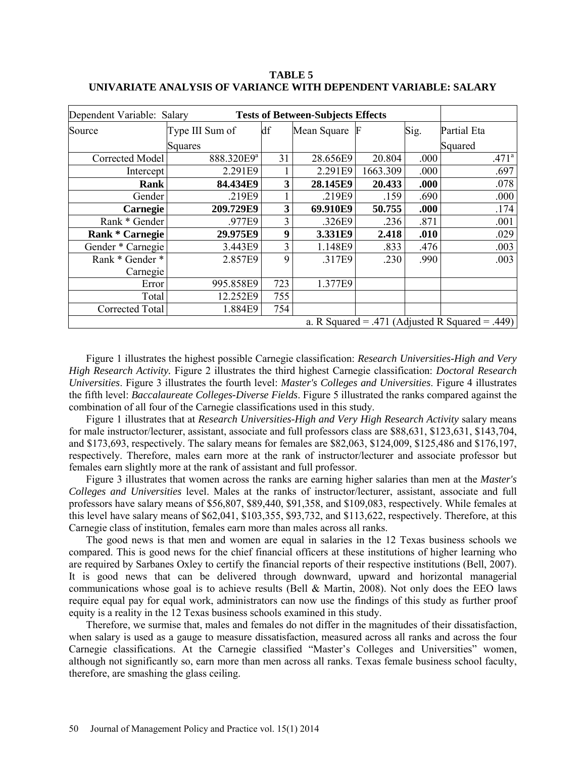| Dependent Variable: Salary |                                                 |     |             |          |       |                   |  |  |  |  |
|----------------------------|-------------------------------------------------|-----|-------------|----------|-------|-------------------|--|--|--|--|
| Source                     | Type III Sum of                                 | df  | Mean Square |          | Sig.  | Partial Eta       |  |  |  |  |
|                            | Squares                                         |     |             |          |       | Squared           |  |  |  |  |
| <b>Corrected Model</b>     | 888.320E9ª                                      | 31  | 28.656E9    | 20.804   | .000  | .471 <sup>a</sup> |  |  |  |  |
| Intercept                  | 2.291E9                                         |     | 2.291E9     | 1663.309 | .000  | .697              |  |  |  |  |
| Rank                       | 84.434E9                                        | 3   | 28.145E9    | 20.433   | .000  | .078              |  |  |  |  |
| Gender                     | .219E9                                          |     | .219E9      | .159     | .690  | .000              |  |  |  |  |
| Carnegie                   | 209.729E9                                       | 3   | 69.910E9    | 50.755   | .000. | .174              |  |  |  |  |
| Rank * Gender              | .977E9                                          | 3   | .326E9      | .236     | .871  | .001              |  |  |  |  |
| <b>Rank * Carnegie</b>     | 29.975E9                                        | 9   | 3.331E9     | 2.418    | .010  | .029              |  |  |  |  |
| Gender * Carnegie          | 3.443E9                                         | 3   | 1.148E9     | .833     | .476  | .003              |  |  |  |  |
| Rank * Gender *            | 2.857E9                                         | 9   | .317E9      | .230     | .990  | .003              |  |  |  |  |
| Carnegie                   |                                                 |     |             |          |       |                   |  |  |  |  |
| Error                      | 995.858E9                                       | 723 | 1.377E9     |          |       |                   |  |  |  |  |
| Total                      | 12.252E9                                        | 755 |             |          |       |                   |  |  |  |  |
| Corrected Total            | 1.884E9                                         | 754 |             |          |       |                   |  |  |  |  |
|                            | a. R Squared = .471 (Adjusted R Squared = .449) |     |             |          |       |                   |  |  |  |  |

**TABLE 5 UNIVARIATE ANALYSIS OF VARIANCE WITH DEPENDENT VARIABLE: SALARY**

Figure 1 illustrates the highest possible Carnegie classification: *Research Universities-High and Very High Research Activity.* Figure 2 illustrates the third highest Carnegie classification: *Doctoral Research Universities*. Figure 3 illustrates the fourth level: *Master's Colleges and Universities*. Figure 4 illustrates the fifth level: *Baccalaureate Colleges-Diverse Fields*. Figure 5 illustrated the ranks compared against the combination of all four of the Carnegie classifications used in this study.

Figure 1 illustrates that at *Research Universities-High and Very High Research Activity* salary means for male instructor/lecturer, assistant, associate and full professors class are \$88,631, \$123,631, \$143,704, and \$173,693, respectively. The salary means for females are \$82,063, \$124,009, \$125,486 and \$176,197, respectively. Therefore, males earn more at the rank of instructor/lecturer and associate professor but females earn slightly more at the rank of assistant and full professor.

Figure 3 illustrates that women across the ranks are earning higher salaries than men at the *Master's Colleges and Universities* level. Males at the ranks of instructor/lecturer, assistant, associate and full professors have salary means of \$56,807, \$89,440, \$91,358, and \$109,083, respectively. While females at this level have salary means of \$62,041, \$103,355, \$93,732, and \$113,622, respectively. Therefore, at this Carnegie class of institution, females earn more than males across all ranks.

The good news is that men and women are equal in salaries in the 12 Texas business schools we compared. This is good news for the chief financial officers at these institutions of higher learning who are required by Sarbanes Oxley to certify the financial reports of their respective institutions (Bell, 2007). It is good news that can be delivered through downward, upward and horizontal managerial communications whose goal is to achieve results (Bell & Martin, 2008). Not only does the EEO laws require equal pay for equal work, administrators can now use the findings of this study as further proof equity is a reality in the 12 Texas business schools examined in this study.

Therefore, we surmise that, males and females do not differ in the magnitudes of their dissatisfaction, when salary is used as a gauge to measure dissatisfaction, measured across all ranks and across the four Carnegie classifications. At the Carnegie classified "Master's Colleges and Universities" women, although not significantly so, earn more than men across all ranks. Texas female business school faculty, therefore, are smashing the glass ceiling.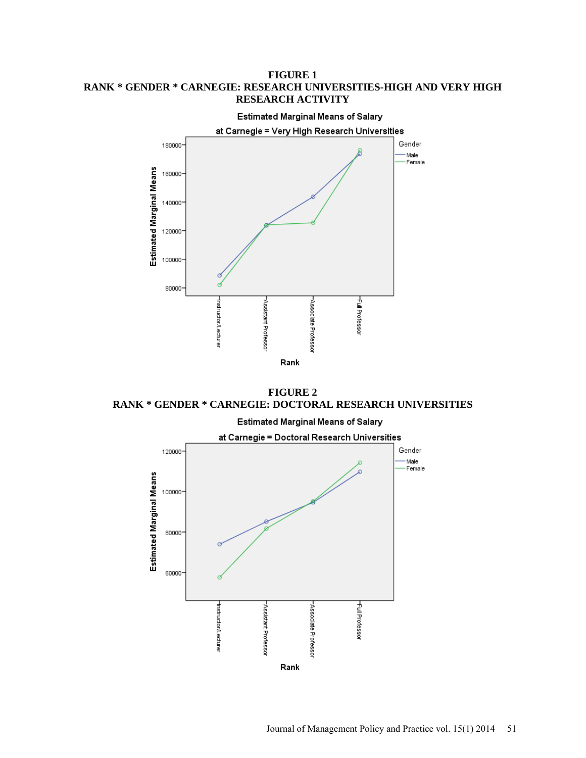#### **FIGURE 1 RANK \* GENDER \* CARNEGIE: RESEARCH UNIVERSITIES-HIGH AND VERY HIGH RESEARCH ACTIVITY**



**FIGURE 2 RANK \* GENDER \* CARNEGIE: DOCTORAL RESEARCH UNIVERSITIES**



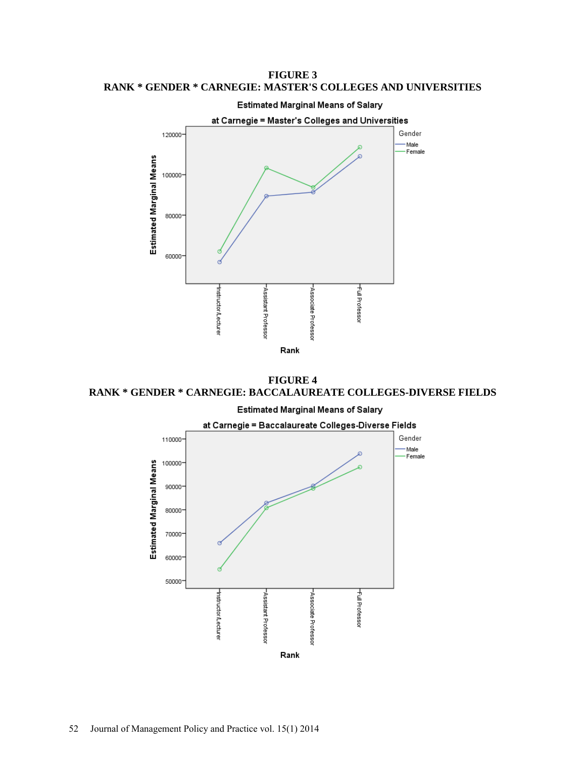**FIGURE 3 RANK \* GENDER \* CARNEGIE: MASTER'S COLLEGES AND UNIVERSITIES**



**FIGURE 4 RANK \* GENDER \* CARNEGIE: BACCALAUREATE COLLEGES-DIVERSE FIELDS**

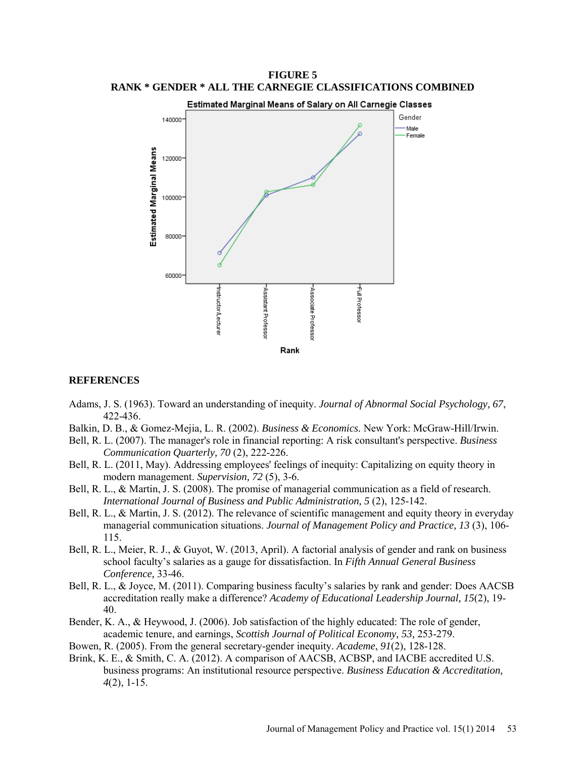

**FIGURE 5 RANK \* GENDER \* ALL THE CARNEGIE CLASSIFICATIONS COMBINED**

#### **REFERENCES**

- Adams, J. S. (1963). Toward an understanding of inequity. *Journal of Abnormal Social Psychology, 67*, 422-436.
- Balkin, D. B., & Gomez-Mejia, L. R. (2002). *Business & Economics.* New York: McGraw-Hill/Irwin.
- Bell, R. L. (2007). The manager's role in financial reporting: A risk consultant's perspective. *Business Communication Quarterly, 70* (2), 222-226.
- Bell, R. L. (2011, May). Addressing employees' feelings of inequity: Capitalizing on equity theory in modern management. *Supervision, 72* (5), 3-6.
- Bell, R. L., & Martin, J. S. (2008). The promise of managerial communication as a field of research. *International Journal of Business and Public Administration, 5* (2), 125-142.
- Bell, R. L., & Martin, J. S. (2012). The relevance of scientific management and equity theory in everyday managerial communication situations. *Journal of Management Policy and Practice, 13* (3), 106- 115.
- Bell, R. L., Meier, R. J., & Guyot, W. (2013, April). A factorial analysis of gender and rank on business school faculty's salaries as a gauge for dissatisfaction. In *Fifth Annual General Business Conference,* 33-46.
- Bell, R. L., & Joyce, M. (2011). Comparing business faculty's salaries by rank and gender: Does AACSB accreditation really make a difference? *Academy of Educational Leadership Journal, 15*(2), 19- 40.
- Bender, K. A., & Heywood, J. (2006). Job satisfaction of the highly educated: The role of gender, academic tenure, and earnings, *Scottish Journal of Political Economy, 53,* 253-279.
- Bowen, R. (2005). From the general secretary-gender inequity. *Academe*, *91*(2), 128-128.
- Brink, K. E., & Smith, C. A. (2012). A comparison of AACSB, ACBSP, and IACBE accredited U.S. business programs: An institutional resource perspective. *Business Education & Accreditation, 4*(2), 1-15.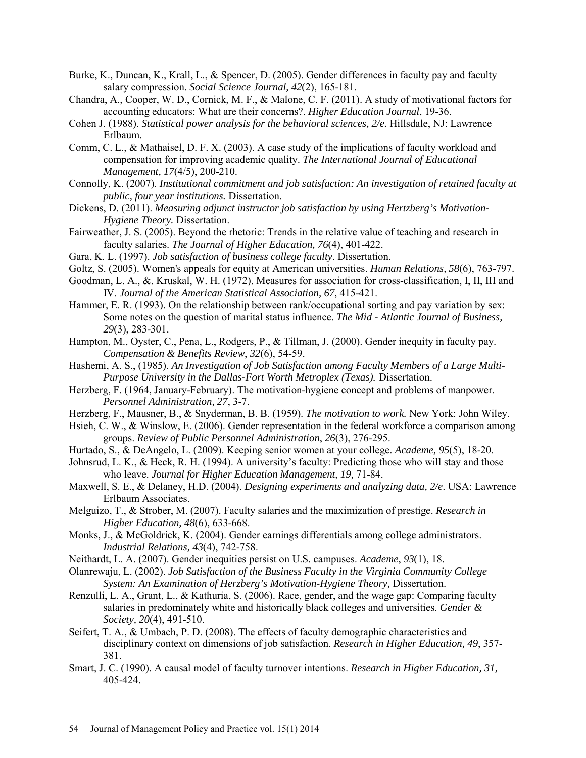- Burke, K., Duncan, K., Krall, L., & Spencer, D. (2005). Gender differences in faculty pay and faculty salary compression. *Social Science Journal, 42*(2), 165-181.
- Chandra, A., Cooper, W. D., Cornick, M. F., & Malone, C. F. (2011). A study of motivational factors for accounting educators: What are their concerns?. *Higher Education Journal*, 19-36.
- Cohen J. (1988). *Statistical power analysis for the behavioral sciences, 2/e.* Hillsdale, NJ: Lawrence Erlbaum.
- Comm, C. L., & Mathaisel, D. F. X. (2003). A case study of the implications of faculty workload and compensation for improving academic quality. *The International Journal of Educational Management, 17*(4/5), 200-210.
- Connolly, K. (2007). *Institutional commitment and job satisfaction: An investigation of retained faculty at public, four year institutions.* Dissertation.
- Dickens, D. (2011). *Measuring adjunct instructor job satisfaction by using Hertzberg's Motivation-Hygiene Theory.* Dissertation.
- Fairweather, J. S. (2005). Beyond the rhetoric: Trends in the relative value of teaching and research in faculty salaries. *The Journal of Higher Education, 76*(4), 401-422.
- Gara, K. L. (1997). *Job satisfaction of business college faculty*. Dissertation.
- Goltz, S. (2005). Women's appeals for equity at American universities. *Human Relations, 58*(6), 763-797.
- Goodman, L. A., &. Kruskal, W. H. (1972). Measures for association for cross-classification, I, II, III and IV. *Journal of the American Statistical Association, 67*, 415-421.
- Hammer, E. R. (1993). On the relationship between rank/occupational sorting and pay variation by sex: Some notes on the question of marital status influence. *The Mid - Atlantic Journal of Business, 29*(3), 283-301.
- Hampton, M., Oyster, C., Pena, L., Rodgers, P., & Tillman, J. (2000). Gender inequity in faculty pay. *Compensation & Benefits Review*, *32*(6), 54-59.
- Hashemi, A. S., (1985). *An Investigation of Job Satisfaction among Faculty Members of a Large Multi-Purpose University in the Dallas-Fort Worth Metroplex (Texas).* Dissertation.
- Herzberg, F. (1964, January-February). The motivation-hygiene concept and problems of manpower. *Personnel Administration, 27*, 3-7.
- Herzberg, F., Mausner, B., & Snyderman, B. B. (1959). *The motivation to work.* New York: John Wiley.
- Hsieh, C. W., & Winslow, E. (2006). Gender representation in the federal workforce a comparison among groups. *Review of Public Personnel Administration*, *26*(3), 276-295.
- Hurtado, S., & DeAngelo, L. (2009). Keeping senior women at your college. *Academe, 95*(5), 18-20.
- Johnsrud, L. K., & Heck, R. H. (1994). A university's faculty: Predicting those who will stay and those who leave. *Journal for Higher Education Management, 19,* 71-84.
- Maxwell, S. E., & Delaney, H.D. (2004). *Designing experiments and analyzing data, 2/e*. USA: Lawrence Erlbaum Associates.
- Melguizo, T., & Strober, M. (2007). Faculty salaries and the maximization of prestige. *Research in Higher Education, 48*(6), 633-668.
- Monks, J., & McGoldrick, K. (2004). Gender earnings differentials among college administrators. *Industrial Relations, 43*(4), 742-758.
- Neithardt, L. A. (2007). Gender inequities persist on U.S. campuses. *Academe*, *93*(1), 18.
- Olanrewaju, L. (2002). *Job Satisfaction of the Business Faculty in the Virginia Community College*  **System: An Examination of Herzberg's Motivation-Hygiene Theory, Dissertation.**
- Renzulli, L. A., Grant, L., & Kathuria, S. (2006). Race, gender, and the wage gap: Comparing faculty salaries in predominately white and historically black colleges and universities. *Gender & Society, 20*(4), 491-510.
- Seifert, T. A., & Umbach, P. D. (2008). The effects of faculty demographic characteristics and disciplinary context on dimensions of job satisfaction. *Research in Higher Education, 49*, 357- 381.
- Smart, J. C. (1990). A causal model of faculty turnover intentions. *Research in Higher Education, 31,* 405-424.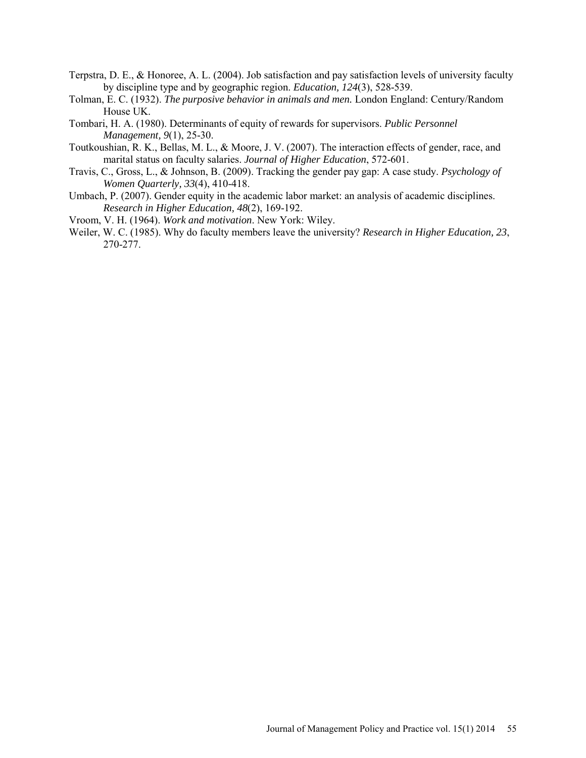- Terpstra, D. E., & Honoree, A. L. (2004). Job satisfaction and pay satisfaction levels of university faculty by discipline type and by geographic region. *Education, 124*(3), 528-539.
- Tolman, E. C. (1932). *The purposive behavior in animals and men.* London England: Century/Random House UK.
- Tombari, H. A. (1980). Determinants of equity of rewards for supervisors. *Public Personnel Management, 9*(1), 25-30.
- Toutkoushian, R. K., Bellas, M. L., & Moore, J. V. (2007). The interaction effects of gender, race, and marital status on faculty salaries. *Journal of Higher Education*, 572-601.
- Travis, C., Gross, L., & Johnson, B. (2009). Tracking the gender pay gap: A case study. *Psychology of Women Quarterly, 33*(4), 410-418.
- Umbach, P. (2007). Gender equity in the academic labor market: an analysis of academic disciplines. *Research in Higher Education, 48*(2), 169-192.
- Vroom, V. H. (1964). *Work and motivation*. New York: Wiley.
- Weiler, W. C. (1985). Why do faculty members leave the university? *Research in Higher Education, 23*, 270-277.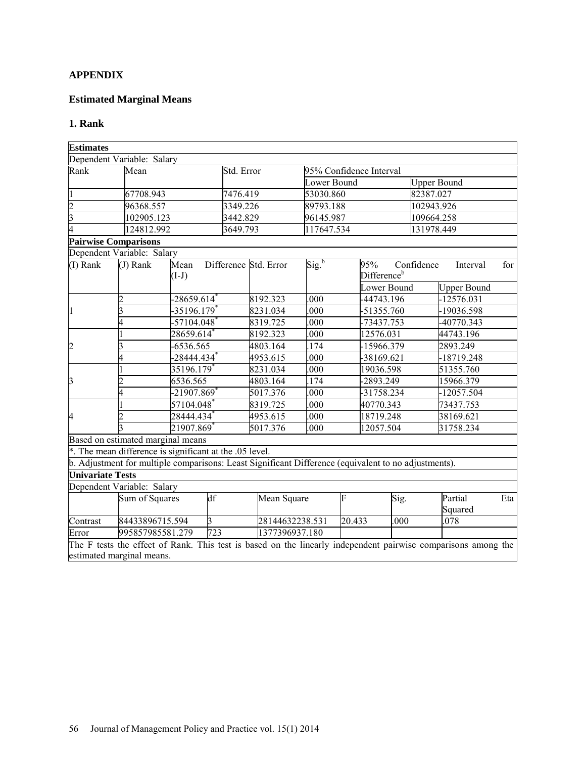## **APPENDIX**

## **Estimated Marginal Means**

## **1. Rank**

| <b>Estimates</b>            |                                                                                                               |            |                       |                                     |                          |                                               |                    |                                    |     |  |
|-----------------------------|---------------------------------------------------------------------------------------------------------------|------------|-----------------------|-------------------------------------|--------------------------|-----------------------------------------------|--------------------|------------------------------------|-----|--|
|                             | Dependent Variable: Salary                                                                                    |            |                       |                                     |                          |                                               |                    |                                    |     |  |
| Rank                        | Mean                                                                                                          | Std. Error |                       | 95% Confidence Interval             |                          |                                               |                    |                                    |     |  |
|                             |                                                                                                               |            |                       |                                     | Lower Bound              |                                               | <b>Upper Bound</b> |                                    |     |  |
|                             | 67708.943                                                                                                     | 7476.419   |                       | 53030.860                           |                          |                                               | 82387.027          |                                    |     |  |
| $\overline{c}$              | 96368.557                                                                                                     | 3349.226   |                       | 89793.188                           |                          |                                               | 102943.926         |                                    |     |  |
| $\overline{3}$              | 102905.123                                                                                                    | 3442.829   |                       | 96145.987                           |                          |                                               | 109664.258         |                                    |     |  |
|                             | 124812.992                                                                                                    | 3649.793   |                       | 117647.534                          |                          |                                               | 131978.449         |                                    |     |  |
| <b>Pairwise Comparisons</b> |                                                                                                               |            |                       |                                     |                          |                                               |                    |                                    |     |  |
|                             | Dependent Variable: Salary                                                                                    |            |                       |                                     |                          |                                               |                    |                                    |     |  |
| (I) Rank                    | Mean<br>$(J)$ Rank<br>$(I-J)$                                                                                 |            | Difference Std. Error | $\overline{\text{Sig.}}^{\text{b}}$ |                          | 95%<br>Difference <sup>b</sup><br>Lower Bound | Confidence         | Interval                           | for |  |
|                             | -28659.614 $^{\degree}$<br>2                                                                                  |            | 8192.323              | .000                                |                          | -44743.196                                    |                    | <b>Upper Bound</b><br>$-12576.031$ |     |  |
| 1                           | -35196.179 $^*$                                                                                               |            | 8231.034              | .000                                |                          | $-51355.760$                                  |                    | -19036.598                         |     |  |
|                             | $-57104.048$ <sup>*</sup>                                                                                     |            | 8319.725              | .000                                |                          | -73437.753                                    |                    | -40770.343                         |     |  |
|                             | 28659.614 $^{\ast}$                                                                                           |            | 8192.323              | .000                                |                          | 12576.031                                     |                    | 44743.196                          |     |  |
|                             | -6536.565                                                                                                     |            | 4803.164              |                                     | 174                      |                                               |                    | 2893.249                           |     |  |
| $\overline{c}$              | -28444.434 $^\ast$                                                                                            |            | 4953.615              | .000                                | -15966.379<br>-38169.621 |                                               |                    | $-18719.248$                       |     |  |
|                             | 35196.179 $^*$                                                                                                |            | 8231.034              | .000                                |                          | 19036.598                                     |                    | 51355.760                          |     |  |
| 3                           | 6536.565                                                                                                      |            | 4803.164              | .174                                |                          | -2893.249                                     |                    | 15966.379                          |     |  |
|                             | -21907.869 <sup>*</sup>                                                                                       |            | 5017.376              | .000                                |                          | -31758.234                                    |                    | $-12057.504$                       |     |  |
|                             | 57104.048                                                                                                     |            | 8319.725              | .000                                |                          | 40770.343                                     |                    | 73437.753                          |     |  |
| 4                           | 28444.434 $^{\degree}$                                                                                        |            | 4953.615              |                                     |                          | 18719.248                                     |                    | 38169.621                          |     |  |
|                             | 21907.869                                                                                                     |            | 5017.376              | .000<br>.000                        |                          | 12057.504                                     |                    | 31758.234                          |     |  |
|                             | Based on estimated marginal means                                                                             |            |                       |                                     |                          |                                               |                    |                                    |     |  |
|                             | *. The mean difference is significant at the .05 level.                                                       |            |                       |                                     |                          |                                               |                    |                                    |     |  |
|                             | b. Adjustment for multiple comparisons: Least Significant Difference (equivalent to no adjustments).          |            |                       |                                     |                          |                                               |                    |                                    |     |  |
| <b>Univariate Tests</b>     |                                                                                                               |            |                       |                                     |                          |                                               |                    |                                    |     |  |
|                             | Dependent Variable: Salary                                                                                    |            |                       |                                     |                          |                                               |                    |                                    |     |  |
|                             | Sum of Squares                                                                                                | df         | Mean Square           |                                     | F                        | Sig.                                          |                    | Partial<br>Squared                 | Eta |  |
| Contrast                    | 84433896715.594                                                                                               | 3          | 28144632238.531       |                                     | 20.433                   | .000                                          |                    | .078                               |     |  |
| Error                       | 995857985581.279                                                                                              | 723        | 1377396937.180        |                                     |                          |                                               |                    |                                    |     |  |
|                             | The F tests the effect of Rank. This test is based on the linearly independent pairwise comparisons among the |            |                       |                                     |                          |                                               |                    |                                    |     |  |
|                             | estimated marginal means.                                                                                     |            |                       |                                     |                          |                                               |                    |                                    |     |  |